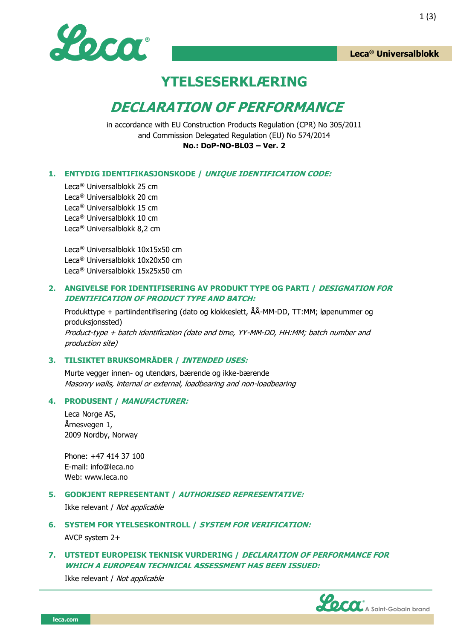

**Leca® Universalblokk**

## **YTELSESERKLÆRING**

# **DECLARATION OF PERFORMANCE**

in accordance with EU Construction Products Regulation (CPR) No 305/2011 and Commission Delegated Regulation (EU) No 574/2014 **No.: DoP-NO-BL03 – Ver. 2**

#### **1. ENTYDIG IDENTIFIKASJONSKODE / UNIQUE IDENTIFICATION CODE:**

Leca® Universalblokk 25 cm Leca® Universalblokk 20 cm Leca® Universalblokk 15 cm Leca® Universalblokk 10 cm Leca® Universalblokk 8,2 cm

Leca® Universalblokk 10x15x50 cm Leca® Universalblokk 10x20x50 cm Leca® Universalblokk 15x25x50 cm

#### **2. ANGIVELSE FOR IDENTIFISERING AV PRODUKT TYPE OG PARTI / DESIGNATION FOR IDENTIFICATION OF PRODUCT TYPE AND BATCH:**

Produkttype + partiindentifisering (dato og klokkeslett, ÅÅ-MM-DD, TT:MM; løpenummer og produksjonssted) Product-type + batch identification (date and time, YY-MM-DD, HH:MM; batch number and production site)

#### **3. TILSIKTET BRUKSOMRÅDER / INTENDED USES:**

Murte vegger innen- og utendørs, bærende og ikke-bærende Masonry walls, internal or external, loadbearing and non-loadbearing

#### **4. PRODUSENT / MANUFACTURER:**

Leca Norge AS, Årnesvegen 1, 2009 Nordby, Norway

Phone: +47 414 37 100 E-mail: info@leca.no Web: [www.leca.no](http://www.leca.no/)

#### **5. GODKJENT REPRESENTANT / AUTHORISED REPRESENTATIVE:**

Ikke relevant / Not applicable

### **6. SYSTEM FOR YTELSESKONTROLL / SYSTEM FOR VERIFICATION:** AVCP system 2+

#### **7. UTSTEDT EUROPEISK TEKNISK VURDERING / DECLARATION OF PERFORMANCE FOR WHICH A EUROPEAN TECHNICAL ASSESSMENT HAS BEEN ISSUED:**

Ikke relevant / Not applicable

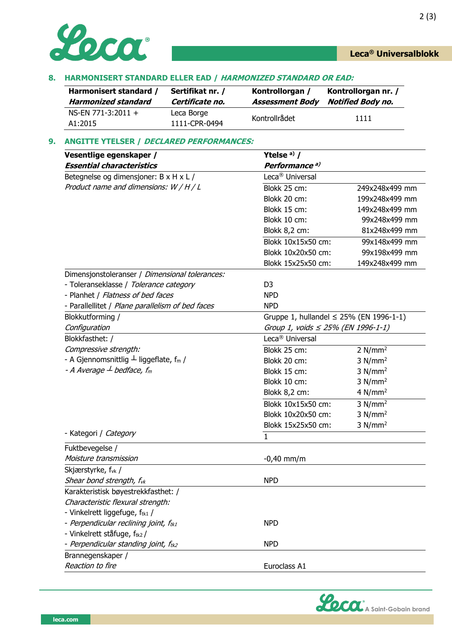

#### **8. HARMONISERT STANDARD ELLER EAD / HARMONIZED STANDARD OR EAD:**

| Harmonisert standard /          | Sertifikat nr. /            | Kontrollorgan /        | Kontrollorgan nr. /      |
|---------------------------------|-----------------------------|------------------------|--------------------------|
| Harmonized standard             | Certificate no.             | <b>Assessment Body</b> | <b>Notified Body no.</b> |
| $NS-EN$ 771-3:2011 +<br>A1:2015 | Leca Borge<br>1111-CPR-0494 | Kontrollrådet          | 1111                     |

#### **9. ANGITTE YTELSER / DECLARED PERFORMANCES:**

| Vesentlige egenskaper /                                  | Ytelse $a)$ /                                |                     |  |
|----------------------------------------------------------|----------------------------------------------|---------------------|--|
| <b>Essential characteristics</b>                         | Performance <sup>a)</sup>                    |                     |  |
| Betegnelse og dimensjoner: B x H x L /                   | Leca <sup>®</sup> Universal                  |                     |  |
| Product name and dimensions: W / H / L                   | Blokk 25 cm:                                 | 249x248x499 mm      |  |
|                                                          | Blokk 20 cm:                                 | 199x248x499 mm      |  |
|                                                          | Blokk 15 cm:                                 | 149x248x499 mm      |  |
|                                                          | Blokk 10 cm:                                 | 99x248x499 mm       |  |
|                                                          | Blokk 8,2 cm:                                | 81x248x499 mm       |  |
|                                                          | Blokk 10x15x50 cm:                           | 99x148x499 mm       |  |
|                                                          | Blokk 10x20x50 cm:                           | 99x198x499 mm       |  |
|                                                          | Blokk 15x25x50 cm:                           | 149x248x499 mm      |  |
| Dimensjonstoleranser / Dimensional tolerances:           |                                              |                     |  |
| - Toleranseklasse / Tolerance category                   | D <sub>3</sub>                               |                     |  |
| - Planhet / Flatness of bed faces                        | <b>NPD</b>                                   |                     |  |
| - Parallellitet / Plane parallelism of bed faces         | <b>NPD</b>                                   |                     |  |
| Blokkutforming /                                         | Gruppe 1, hullandel $\leq$ 25% (EN 1996-1-1) |                     |  |
| Configuration                                            | Group 1, voids $\leq$ 25% (EN 1996-1-1)      |                     |  |
| Blokkfasthet: /                                          | Leca <sup>®</sup> Universal                  |                     |  |
| Compressive strength:                                    | Blokk 25 cm:                                 | 2 N/mm <sup>2</sup> |  |
| - A Gjennomsnittlig $\perp$ liggeflate, f <sub>m</sub> / | Blokk 20 cm:                                 | 3 N/mm <sup>2</sup> |  |
| - A Average $\perp$ bedface, f <sub>m</sub>              | Blokk 15 cm:                                 | 3 N/mm <sup>2</sup> |  |
|                                                          | Blokk 10 cm:                                 | 3 N/mm <sup>2</sup> |  |
|                                                          | Blokk 8,2 cm:                                | 4 $N/mm2$           |  |
|                                                          | Blokk 10x15x50 cm:                           | 3 N/mm <sup>2</sup> |  |
|                                                          | Blokk 10x20x50 cm:                           | 3 N/mm <sup>2</sup> |  |
|                                                          | Blokk 15x25x50 cm:                           | 3 N/mm <sup>2</sup> |  |
| - Kategori / Category                                    | 1                                            |                     |  |
| Fuktbevegelse /                                          |                                              |                     |  |
| Moisture transmission                                    | $-0,40$ mm/m                                 |                     |  |
| Skjærstyrke, f <sub>vk</sub> /                           |                                              |                     |  |
| Shear bond strength, f <sub>vk</sub>                     | <b>NPD</b>                                   |                     |  |
| Karakteristisk bøyestrekkfasthet: /                      |                                              |                     |  |
| Characteristic flexural strength:                        |                                              |                     |  |
| - Vinkelrett liggefuge, ftk1 /                           |                                              |                     |  |
| - Perpendicular reclining joint, f <sub>tk1</sub>        | <b>NPD</b>                                   |                     |  |
| - Vinkelrett ståfuge, ftk2/                              |                                              |                     |  |
| - Perpendicular standing joint, f <sub>tk2</sub>         | <b>NPD</b>                                   |                     |  |
| Brannegenskaper /                                        |                                              |                     |  |
| Reaction to fire                                         | Euroclass A1                                 |                     |  |